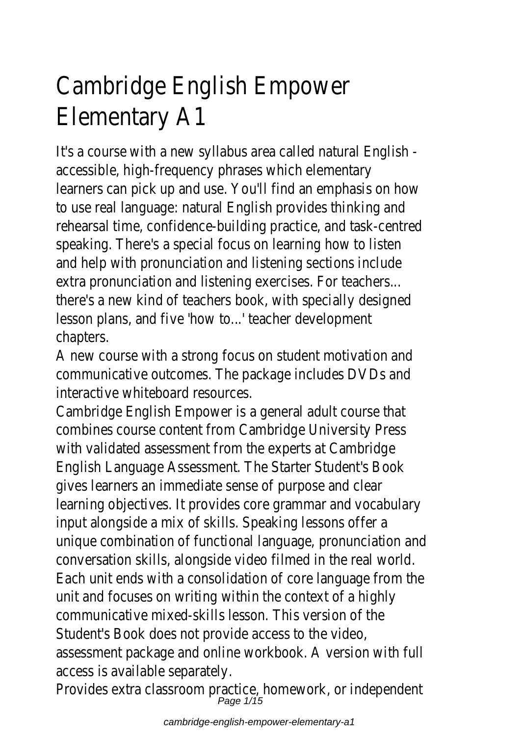# Cambridge English Empower Elementary A1

It's a course with a new syllabus area called natural English accessible, high-frequency phrases which elementary learners can pick up and use. You'll find an emphasis on how to use real language: natural English provides thinking and rehearsal time, confidence-building practice, and task-centred speaking. There's a special focus on learning how to listen and help with pronunciation and listening sections include extra pronunciation and listening exercises. For teachers... there's a new kind of teachers book, with specially designed lesson plans, and five 'how to...' teacher development chapters.

A new course with a strong focus on student motivation and communicative outcomes. The package includes DVDs and interactive whiteboard resources.

Cambridge English Empower is a general adult course that combines course content from Cambridge University Press with validated assessment from the experts at Cambridge English Language Assessment. The Starter Student's Book gives learners an immediate sense of purpose and clear learning objectives. It provides core grammar and vocabulary input alongside a mix of skills. Speaking lessons offer a unique combination of functional language, pronunciation and conversation skills, alongside video filmed in the real world. Each unit ends with a consolidation of core language from the unit and focuses on writing within the context of a highly communicative mixed-skills lesson. This version of the Student's Book does not provide access to the video, assessment package and online workbook. A version with full access is available separately.

Provides extra classroom practice, homework, or independent Page 1/15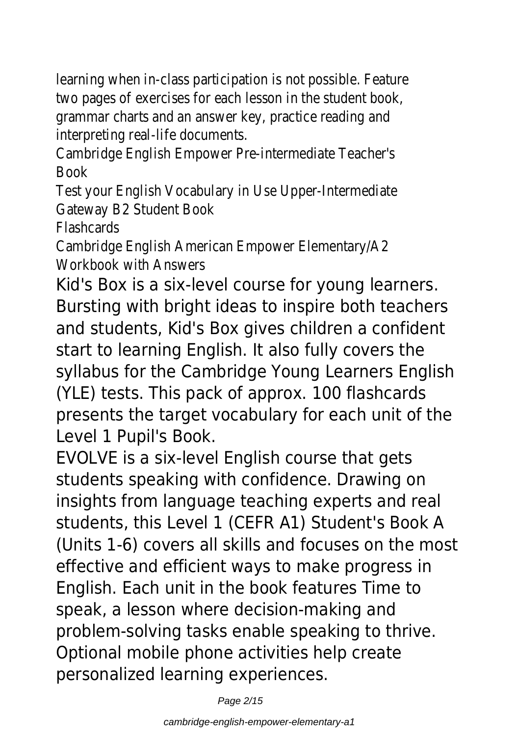learning when in-class participation is not possible. Feature two pages of exercises for each lesson in the student book, grammar charts and an answer key, practice reading and interpreting real-life documents.

Cambridge English Empower Pre-intermediate Teacher's Book

Test your English Vocabulary in Use Upper-Intermediate Gateway B2 Student Book

Flashcards

Cambridge English American Empower Elementary/A2 Workbook with Answers

Kid's Box is a six-level course for young learners. Bursting with bright ideas to inspire both teachers and students, Kid's Box gives children a confident start to learning English. It also fully covers the syllabus for the Cambridge Young Learners English (YLE) tests. This pack of approx. 100 flashcards presents the target vocabulary for each unit of the Level 1 Pupil's Book.

EVOLVE is a six-level English course that gets students speaking with confidence. Drawing on insights from language teaching experts and real students, this Level 1 (CEFR A1) Student's Book A (Units 1-6) covers all skills and focuses on the most effective and efficient ways to make progress in English. Each unit in the book features Time to speak, a lesson where decision-making and problem-solving tasks enable speaking to thrive. Optional mobile phone activities help create personalized learning experiences.

Page 2/15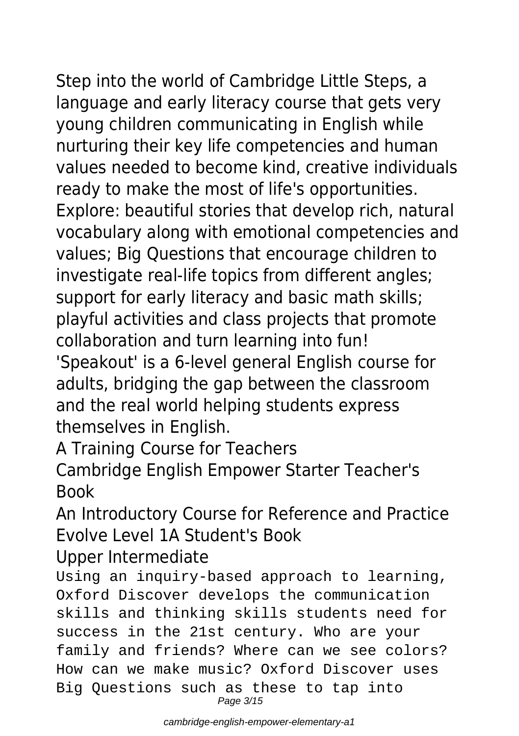Step into the world of Cambridge Little Steps, a language and early literacy course that gets very young children communicating in English while nurturing their key life competencies and human values needed to become kind, creative individuals ready to make the most of life's opportunities. Explore: beautiful stories that develop rich, natural vocabulary along with emotional competencies and values; Big Questions that encourage children to investigate real-life topics from different angles; support for early literacy and basic math skills; playful activities and class projects that promote collaboration and turn learning into fun! 'Speakout' is a 6-level general English course for adults, bridging the gap between the classroom and the real world helping students express themselves in English.

A Training Course for Teachers

Cambridge English Empower Starter Teacher's Book

An Introductory Course for Reference and Practice Evolve Level 1A Student's Book Upper Intermediate

Using an inquiry-based approach to learning, Oxford Discover develops the communication skills and thinking skills students need for success in the 21st century. Who are your family and friends? Where can we see colors? How can we make music? Oxford Discover uses Big Questions such as these to tap into Page 3/15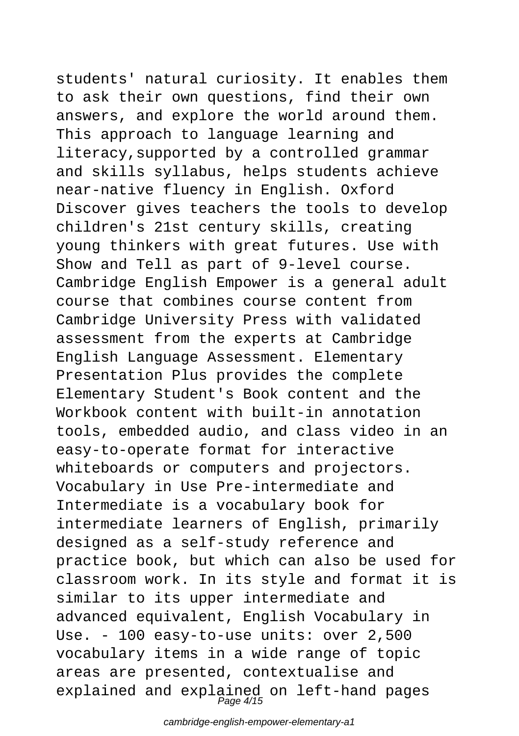students' natural curiosity. It enables them to ask their own questions, find their own answers, and explore the world around them. This approach to language learning and literacy,supported by a controlled grammar and skills syllabus, helps students achieve near-native fluency in English. Oxford Discover gives teachers the tools to develop children's 21st century skills, creating young thinkers with great futures. Use with Show and Tell as part of 9-level course. Cambridge English Empower is a general adult course that combines course content from Cambridge University Press with validated assessment from the experts at Cambridge English Language Assessment. Elementary Presentation Plus provides the complete Elementary Student's Book content and the Workbook content with built-in annotation tools, embedded audio, and class video in an easy-to-operate format for interactive whiteboards or computers and projectors. Vocabulary in Use Pre-intermediate and Intermediate is a vocabulary book for intermediate learners of English, primarily designed as a self-study reference and practice book, but which can also be used for classroom work. In its style and format it is similar to its upper intermediate and advanced equivalent, English Vocabulary in Use. - 100 easy-to-use units: over 2,500 vocabulary items in a wide range of topic areas are presented, contextualise and explained and explained on left-hand pages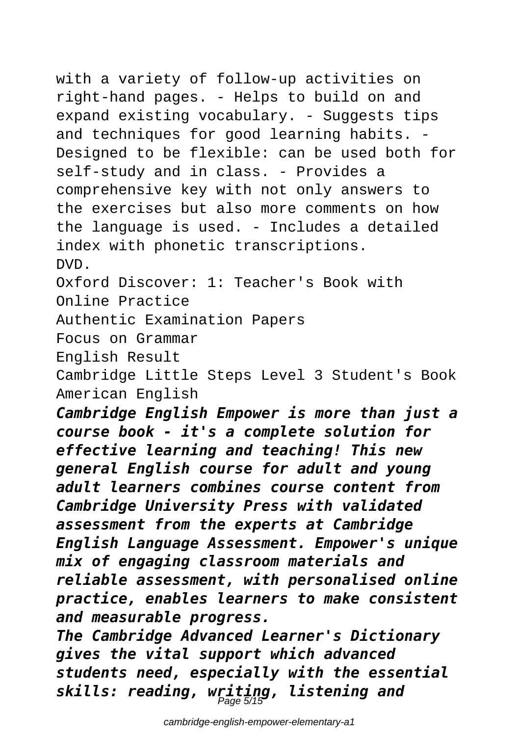with a variety of follow-up activities on right-hand pages. - Helps to build on and expand existing vocabulary. - Suggests tips and techniques for good learning habits. - Designed to be flexible: can be used both for self-study and in class. - Provides a comprehensive key with not only answers to the exercises but also more comments on how the language is used. - Includes a detailed index with phonetic transcriptions. DVD.

Oxford Discover: 1: Teacher's Book with Online Practice

Authentic Examination Papers

Focus on Grammar

English Result

Cambridge Little Steps Level 3 Student's Book American English

*Cambridge English Empower is more than just a course book - it's a complete solution for effective learning and teaching! This new general English course for adult and young adult learners combines course content from Cambridge University Press with validated assessment from the experts at Cambridge English Language Assessment. Empower's unique mix of engaging classroom materials and reliable assessment, with personalised online practice, enables learners to make consistent and measurable progress.*

*The Cambridge Advanced Learner's Dictionary gives the vital support which advanced students need, especially with the essential skills: reading, writing, listening and* Page 5/15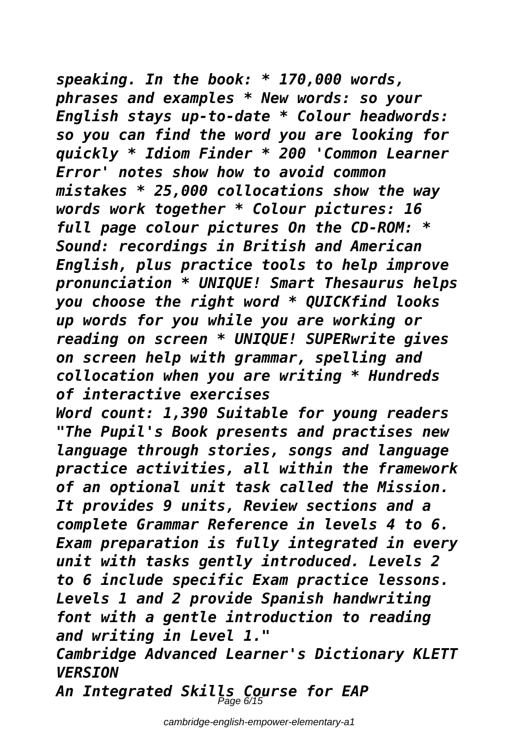*speaking. In the book: \* 170,000 words, phrases and examples \* New words: so your English stays up-to-date \* Colour headwords: so you can find the word you are looking for quickly \* Idiom Finder \* 200 'Common Learner Error' notes show how to avoid common mistakes \* 25,000 collocations show the way words work together \* Colour pictures: 16 full page colour pictures On the CD-ROM: \* Sound: recordings in British and American English, plus practice tools to help improve pronunciation \* UNIQUE! Smart Thesaurus helps you choose the right word \* QUICKfind looks up words for you while you are working or reading on screen \* UNIQUE! SUPERwrite gives on screen help with grammar, spelling and collocation when you are writing \* Hundreds of interactive exercises*

*Word count: 1,390 Suitable for young readers "The Pupil's Book presents and practises new language through stories, songs and language practice activities, all within the framework of an optional unit task called the Mission. It provides 9 units, Review sections and a complete Grammar Reference in levels 4 to 6. Exam preparation is fully integrated in every unit with tasks gently introduced. Levels 2 to 6 include specific Exam practice lessons. Levels 1 and 2 provide Spanish handwriting font with a gentle introduction to reading and writing in Level 1."*

*Cambridge Advanced Learner's Dictionary KLETT VERSION*

*An Integrated Skills Course for EAP* Page 6/15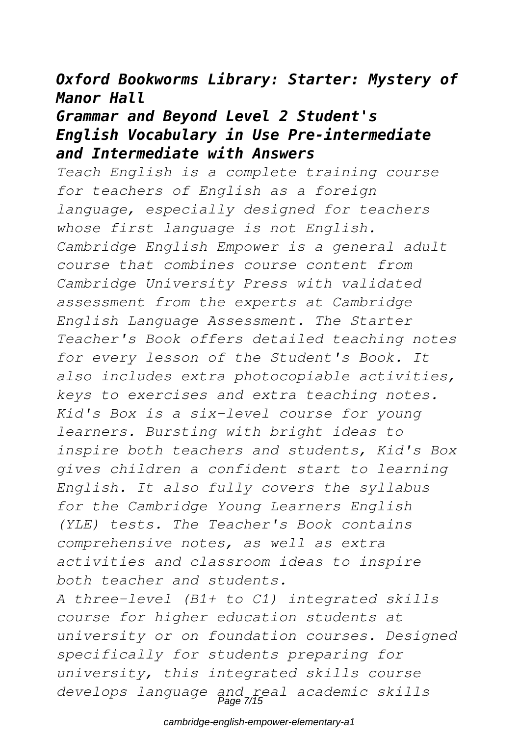### *Oxford Bookworms Library: Starter: Mystery of Manor Hall*

# *Grammar and Beyond Level 2 Student's English Vocabulary in Use Pre-intermediate and Intermediate with Answers*

*Teach English is a complete training course for teachers of English as a foreign language, especially designed for teachers whose first language is not English. Cambridge English Empower is a general adult course that combines course content from Cambridge University Press with validated assessment from the experts at Cambridge English Language Assessment. The Starter Teacher's Book offers detailed teaching notes for every lesson of the Student's Book. It also includes extra photocopiable activities, keys to exercises and extra teaching notes. Kid's Box is a six-level course for young learners. Bursting with bright ideas to inspire both teachers and students, Kid's Box gives children a confident start to learning English. It also fully covers the syllabus for the Cambridge Young Learners English (YLE) tests. The Teacher's Book contains comprehensive notes, as well as extra activities and classroom ideas to inspire both teacher and students.*

*A three-level (B1+ to C1) integrated skills course for higher education students at university or on foundation courses. Designed specifically for students preparing for university, this integrated skills course develops language and real academic skills* Page 7/15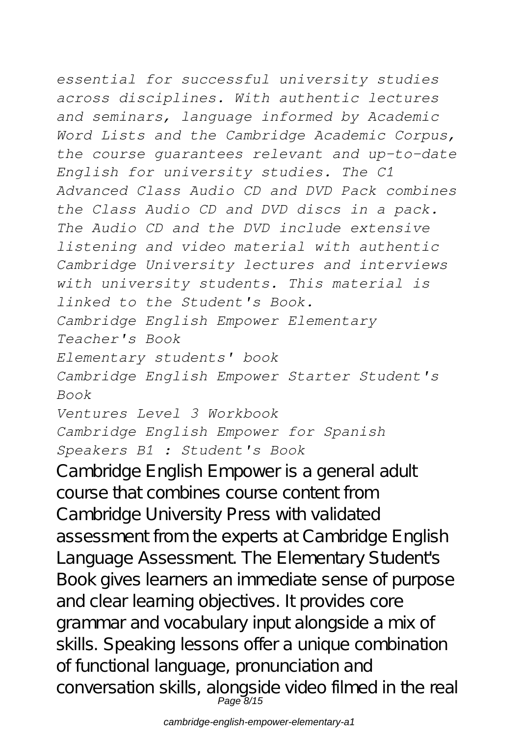*essential for successful university studies across disciplines. With authentic lectures and seminars, language informed by Academic Word Lists and the Cambridge Academic Corpus, the course guarantees relevant and up-to-date English for university studies. The C1 Advanced Class Audio CD and DVD Pack combines the Class Audio CD and DVD discs in a pack. The Audio CD and the DVD include extensive listening and video material with authentic Cambridge University lectures and interviews with university students. This material is linked to the Student's Book. Cambridge English Empower Elementary Teacher's Book Elementary students' book Cambridge English Empower Starter Student's Book Ventures Level 3 Workbook Cambridge English Empower for Spanish Speakers B1 : Student's Book* Cambridge English Empower is a general adult course that combines course content from Cambridge University Press with validated assessment from the experts at Cambridge English Language Assessment. The Elementary Student's Book gives learners an immediate sense of purpose

and clear learning objectives. It provides core grammar and vocabulary input alongside a mix of skills. Speaking lessons offer a unique combination of functional language, pronunciation and conversation skills, alongside video filmed in the real Page 8/15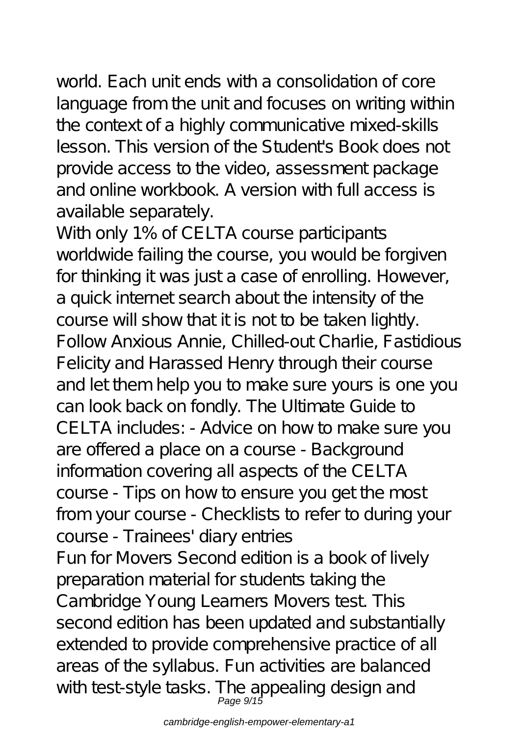world. Each unit ends with a consolidation of core language from the unit and focuses on writing within the context of a highly communicative mixed-skills lesson. This version of the Student's Book does not provide access to the video, assessment package and online workbook. A version with full access is available separately.

With only 1% of CELTA course participants worldwide failing the course, you would be forgiven for thinking it was just a case of enrolling. However, a quick internet search about the intensity of the course will show that it is not to be taken lightly. Follow Anxious Annie, Chilled-out Charlie, Fastidious Felicity and Harassed Henry through their course and let them help you to make sure yours is one you can look back on fondly. The Ultimate Guide to CELTA includes: - Advice on how to make sure you are offered a place on a course - Background information covering all aspects of the CELTA course - Tips on how to ensure you get the most from your course - Checklists to refer to during your course - Trainees' diary entries Fun for Movers Second edition is a book of lively preparation material for students taking the Cambridge Young Learners Movers test. This second edition has been updated and substantially extended to provide comprehensive practice of all areas of the syllabus. Fun activities are balanced with test-style tasks. The appealing design and<br>Page 9/15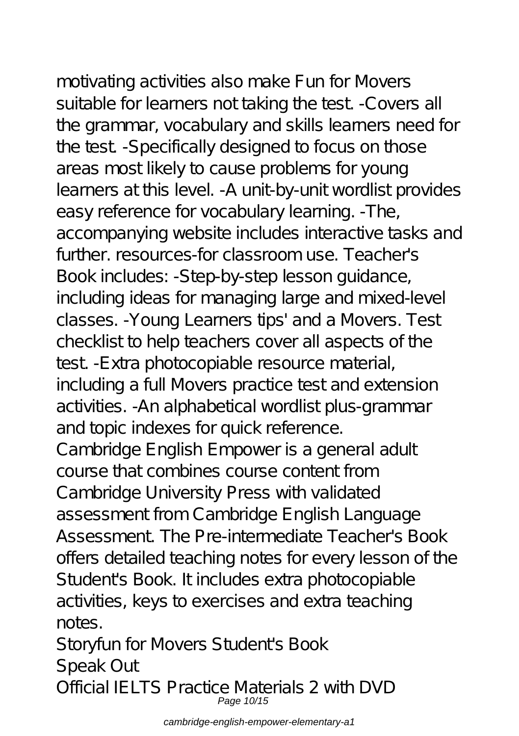motivating activities also make Fun for Movers suitable for learners not taking the test. -Covers all the grammar, vocabulary and skills learners need for the test. -Specifically designed to focus on those areas most likely to cause problems for young learners at this level. -A unit-by-unit wordlist provides easy reference for vocabulary learning. -The, accompanying website includes interactive tasks and further. resources-for classroom use. Teacher's Book includes: -Step-by-step lesson guidance, including ideas for managing large and mixed-level classes. -Young Learners tips' and a Movers. Test checklist to help teachers cover all aspects of the test. -Extra photocopiable resource material, including a full Movers practice test and extension activities. -An alphabetical wordlist plus-grammar and topic indexes for quick reference. Cambridge English Empower is a general adult course that combines course content from Cambridge University Press with validated assessment from Cambridge English Language Assessment. The Pre-intermediate Teacher's Book offers detailed teaching notes for every lesson of the Student's Book. It includes extra photocopiable activities, keys to exercises and extra teaching notes.

Storyfun for Movers Student's Book Speak Out Official IELTS Practice Materials 2 with DVD Page 10/15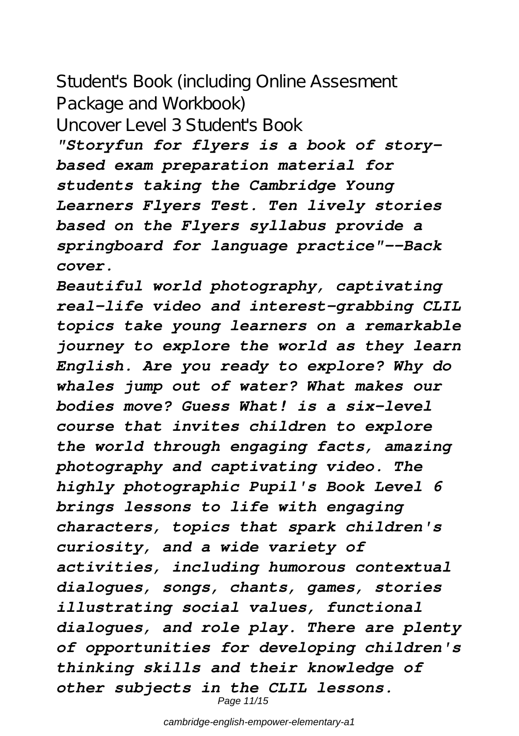# Student's Book (including Online Assesment Package and Workbook) Uncover Level 3 Student's Book

*"Storyfun for flyers is a book of storybased exam preparation material for students taking the Cambridge Young Learners Flyers Test. Ten lively stories based on the Flyers syllabus provide a springboard for language practice"--Back cover.*

*Beautiful world photography, captivating real-life video and interest-grabbing CLIL topics take young learners on a remarkable journey to explore the world as they learn English. Are you ready to explore? Why do whales jump out of water? What makes our bodies move? Guess What! is a six-level course that invites children to explore the world through engaging facts, amazing photography and captivating video. The highly photographic Pupil's Book Level 6 brings lessons to life with engaging characters, topics that spark children's curiosity, and a wide variety of activities, including humorous contextual dialogues, songs, chants, games, stories illustrating social values, functional dialogues, and role play. There are plenty of opportunities for developing children's thinking skills and their knowledge of other subjects in the CLIL lessons.* Page 11/15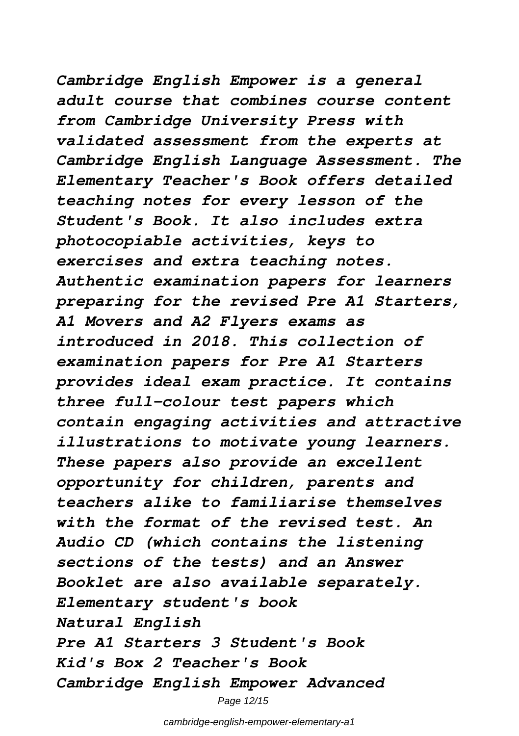*Cambridge English Empower is a general adult course that combines course content from Cambridge University Press with validated assessment from the experts at Cambridge English Language Assessment. The Elementary Teacher's Book offers detailed teaching notes for every lesson of the Student's Book. It also includes extra photocopiable activities, keys to exercises and extra teaching notes. Authentic examination papers for learners preparing for the revised Pre A1 Starters, A1 Movers and A2 Flyers exams as introduced in 2018. This collection of examination papers for Pre A1 Starters provides ideal exam practice. It contains three full-colour test papers which contain engaging activities and attractive illustrations to motivate young learners. These papers also provide an excellent opportunity for children, parents and teachers alike to familiarise themselves with the format of the revised test. An Audio CD (which contains the listening sections of the tests) and an Answer Booklet are also available separately. Elementary student's book Natural English Pre A1 Starters 3 Student's Book Kid's Box 2 Teacher's Book Cambridge English Empower Advanced*

cambridge-english-empower-elementary-a1

Page 12/15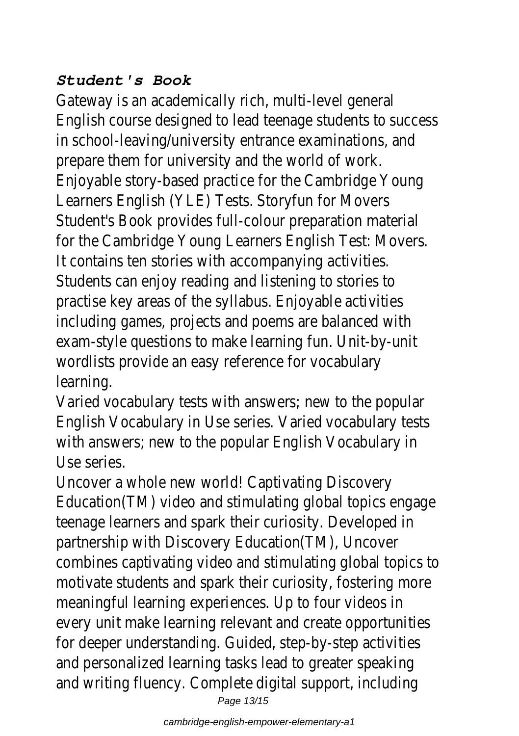### *Student's Book*

Gateway is an academically rich, multi-level general English course designed to lead teenage students to success in school-leaving/university entrance examinations, and prepare them for university and the world of work. Enjoyable story-based practice for the Cambridge Young Learners English (YLE) Tests. Storyfun for Movers Student's Book provides full-colour preparation material for the Cambridge Young Learners English Test: Movers. It contains ten stories with accompanying activities. Students can enjoy reading and listening to stories to practise key areas of the syllabus. Enjoyable activities including games, projects and poems are balanced with exam-style questions to make learning fun. Unit-by-unit wordlists provide an easy reference for vocabulary learning.

Varied vocabulary tests with answers; new to the popular English Vocabulary in Use series. Varied vocabulary tests with answers; new to the popular English Vocabulary in Use series.

Uncover a whole new world! Captivating Discovery Education(TM) video and stimulating global topics engage teenage learners and spark their curiosity. Developed in partnership with Discovery Education(TM), Uncover combines captivating video and stimulating global topics to motivate students and spark their curiosity, fostering more meaningful learning experiences. Up to four videos in every unit make learning relevant and create opportunities for deeper understanding. Guided, step-by-step activities and personalized learning tasks lead to greater speaking and writing fluency. Complete digital support, including Page 13/15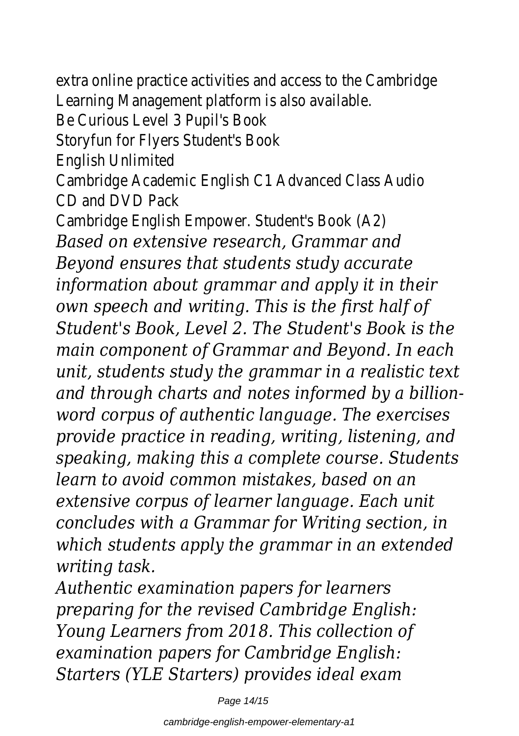extra online practice activities and access to the Cambridge Learning Management platform is also available.

Be Curious Level 3 Pupil's Book

Storyfun for Flyers Student's Book

English Unlimited

Cambridge Academic English C1 Advanced Class Audio CD and DVD Pack

Cambridge English Empower. Student's Book (A2) *Based on extensive research, Grammar and Beyond ensures that students study accurate information about grammar and apply it in their own speech and writing. This is the first half of Student's Book, Level 2. The Student's Book is the main component of Grammar and Beyond. In each unit, students study the grammar in a realistic text and through charts and notes informed by a billionword corpus of authentic language. The exercises provide practice in reading, writing, listening, and speaking, making this a complete course. Students learn to avoid common mistakes, based on an extensive corpus of learner language. Each unit concludes with a Grammar for Writing section, in which students apply the grammar in an extended writing task.*

*Authentic examination papers for learners preparing for the revised Cambridge English: Young Learners from 2018. This collection of examination papers for Cambridge English: Starters (YLE Starters) provides ideal exam*

Page 14/15